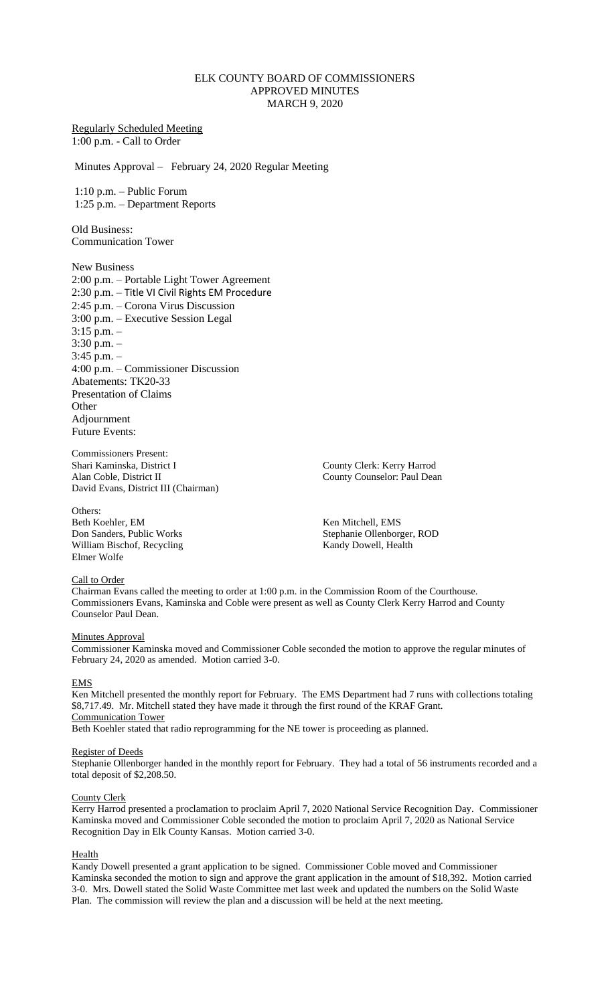# ELK COUNTY BOARD OF COMMISSIONERS APPROVED MINUTES MARCH 9, 2020

# Regularly Scheduled Meeting 1:00 p.m. - Call to Order

Minutes Approval – February 24, 2020 Regular Meeting

1:10 p.m. – Public Forum 1:25 p.m. – Department Reports

Old Business: Communication Tower

New Business 2:00 p.m. – Portable Light Tower Agreement 2:30 p.m. – Title VI Civil Rights EM Procedure 2:45 p.m. – Corona Virus Discussion 3:00 p.m. – Executive Session Legal 3:15 p.m. – 3:30 p.m. – 3:45 p.m. – 4:00 p.m. – Commissioner Discussion Abatements: TK20-33 Presentation of Claims **Other** Adjournment Future Events:

Commissioners Present: Shari Kaminska, District I County Clerk: Kerry Harrod Alan Coble, District II County Counselor: Paul Dean David Evans, District III (Chairman)

Others: Beth Koehler, EM Ken Mitchell, EMS<br>
Don Sanders, Public Works<br>
Stephanie Ollenborg William Bischof, Recycling Kandy Dowell, Health Elmer Wolfe

Stephanie Ollenborger, ROD

# Call to Order

Chairman Evans called the meeting to order at 1:00 p.m. in the Commission Room of the Courthouse. Commissioners Evans, Kaminska and Coble were present as well as County Clerk Kerry Harrod and County Counselor Paul Dean.

## **Minutes Approval**

Commissioner Kaminska moved and Commissioner Coble seconded the motion to approve the regular minutes of February 24, 2020 as amended. Motion carried 3-0.

## EMS

Ken Mitchell presented the monthly report for February. The EMS Department had 7 runs with collections totaling \$8,717.49. Mr. Mitchell stated they have made it through the first round of the KRAF Grant. Communication Tower

Beth Koehler stated that radio reprogramming for the NE tower is proceeding as planned.

# Register of Deeds

Stephanie Ollenborger handed in the monthly report for February. They had a total of 56 instruments recorded and a total deposit of \$2,208.50.

## County Clerk

Kerry Harrod presented a proclamation to proclaim April 7, 2020 National Service Recognition Day. Commissioner Kaminska moved and Commissioner Coble seconded the motion to proclaim April 7, 2020 as National Service Recognition Day in Elk County Kansas. Motion carried 3-0.

## Health

Kandy Dowell presented a grant application to be signed. Commissioner Coble moved and Commissioner Kaminska seconded the motion to sign and approve the grant application in the amount of \$18,392. Motion carried 3-0. Mrs. Dowell stated the Solid Waste Committee met last week and updated the numbers on the Solid Waste Plan. The commission will review the plan and a discussion will be held at the next meeting.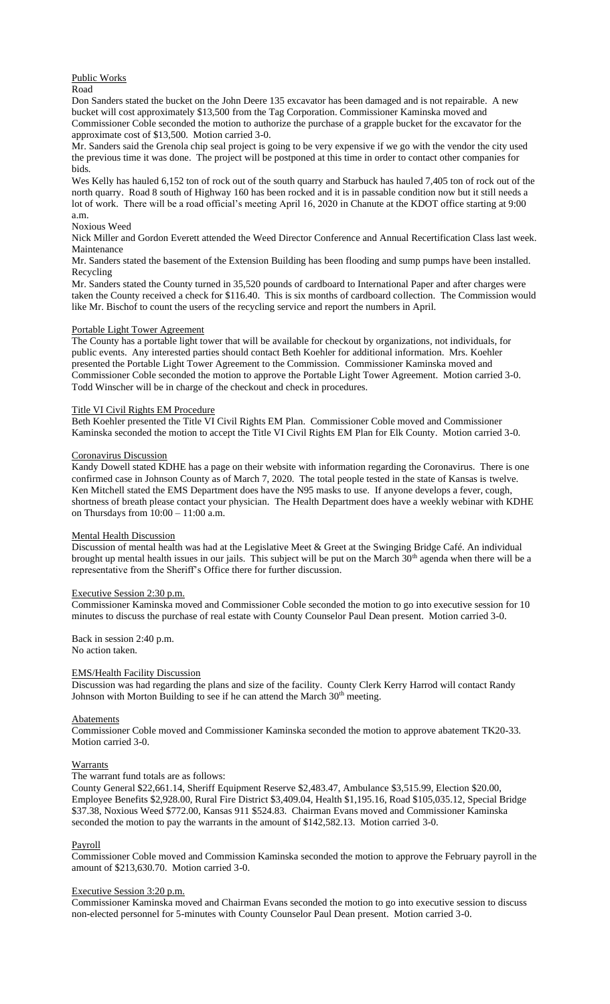# Public Works

Road

Don Sanders stated the bucket on the John Deere 135 excavator has been damaged and is not repairable. A new bucket will cost approximately \$13,500 from the Tag Corporation. Commissioner Kaminska moved and Commissioner Coble seconded the motion to authorize the purchase of a grapple bucket for the excavator for the approximate cost of \$13,500. Motion carried 3-0.

Mr. Sanders said the Grenola chip seal project is going to be very expensive if we go with the vendor the city used the previous time it was done. The project will be postponed at this time in order to contact other companies for bids.

Wes Kelly has hauled 6,152 ton of rock out of the south quarry and Starbuck has hauled 7,405 ton of rock out of the north quarry. Road 8 south of Highway 160 has been rocked and it is in passable condition now but it still needs a lot of work. There will be a road official's meeting April 16, 2020 in Chanute at the KDOT office starting at 9:00 a.m.

# Noxious Weed

Nick Miller and Gordon Everett attended the Weed Director Conference and Annual Recertification Class last week. Maintenance

Mr. Sanders stated the basement of the Extension Building has been flooding and sump pumps have been installed. Recycling

Mr. Sanders stated the County turned in 35,520 pounds of cardboard to International Paper and after charges were taken the County received a check for \$116.40. This is six months of cardboard collection. The Commission would like Mr. Bischof to count the users of the recycling service and report the numbers in April.

# Portable Light Tower Agreement

The County has a portable light tower that will be available for checkout by organizations, not individuals, for public events. Any interested parties should contact Beth Koehler for additional information. Mrs. Koehler presented the Portable Light Tower Agreement to the Commission. Commissioner Kaminska moved and Commissioner Coble seconded the motion to approve the Portable Light Tower Agreement. Motion carried 3-0. Todd Winscher will be in charge of the checkout and check in procedures.

# Title VI Civil Rights EM Procedure

Beth Koehler presented the Title VI Civil Rights EM Plan. Commissioner Coble moved and Commissioner Kaminska seconded the motion to accept the Title VI Civil Rights EM Plan for Elk County. Motion carried 3-0.

## Coronavirus Discussion

Kandy Dowell stated KDHE has a page on their website with information regarding the Coronavirus. There is one confirmed case in Johnson County as of March 7, 2020. The total people tested in the state of Kansas is twelve. Ken Mitchell stated the EMS Department does have the N95 masks to use. If anyone develops a fever, cough, shortness of breath please contact your physician. The Health Department does have a weekly webinar with KDHE on Thursdays from 10:00 – 11:00 a.m.

## Mental Health Discussion

Discussion of mental health was had at the Legislative Meet & Greet at the Swinging Bridge Café. An individual brought up mental health issues in our jails. This subject will be put on the March 30<sup>th</sup> agenda when there will be a representative from the Sheriff's Office there for further discussion.

## Executive Session 2:30 p.m.

Commissioner Kaminska moved and Commissioner Coble seconded the motion to go into executive session for 10 minutes to discuss the purchase of real estate with County Counselor Paul Dean present. Motion carried 3-0.

Back in session 2:40 p.m. No action taken.

# EMS/Health Facility Discussion

Discussion was had regarding the plans and size of the facility. County Clerk Kerry Harrod will contact Randy Johnson with Morton Building to see if he can attend the March 30<sup>th</sup> meeting.

## Abatements

Commissioner Coble moved and Commissioner Kaminska seconded the motion to approve abatement TK20-33. Motion carried 3-0.

## Warrants

# The warrant fund totals are as follows:

County General \$22,661.14, Sheriff Equipment Reserve \$2,483.47, Ambulance \$3,515.99, Election \$20.00, Employee Benefits \$2,928.00, Rural Fire District \$3,409.04, Health \$1,195.16, Road \$105,035.12, Special Bridge \$37.38, Noxious Weed \$772.00, Kansas 911 \$524.83. Chairman Evans moved and Commissioner Kaminska seconded the motion to pay the warrants in the amount of \$142,582.13. Motion carried 3-0.

## Payroll

Commissioner Coble moved and Commission Kaminska seconded the motion to approve the February payroll in the amount of \$213,630.70. Motion carried 3-0.

## Executive Session 3:20 p.m.

Commissioner Kaminska moved and Chairman Evans seconded the motion to go into executive session to discuss non-elected personnel for 5-minutes with County Counselor Paul Dean present. Motion carried 3-0.